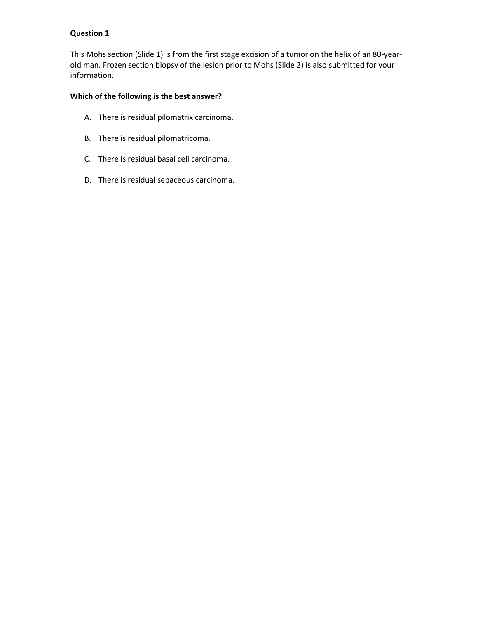This Mohs section (Slide 1) is from the first stage excision of a tumor on the helix of an 80-yearold man. Frozen section biopsy of the lesion prior to Mohs (Slide 2) is also submitted for your information.

# **Which of the following is the best answer?**

- A. There is residual pilomatrix carcinoma.
- B. There is residual pilomatricoma.
- C. There is residual basal cell carcinoma.
- D. There is residual sebaceous carcinoma.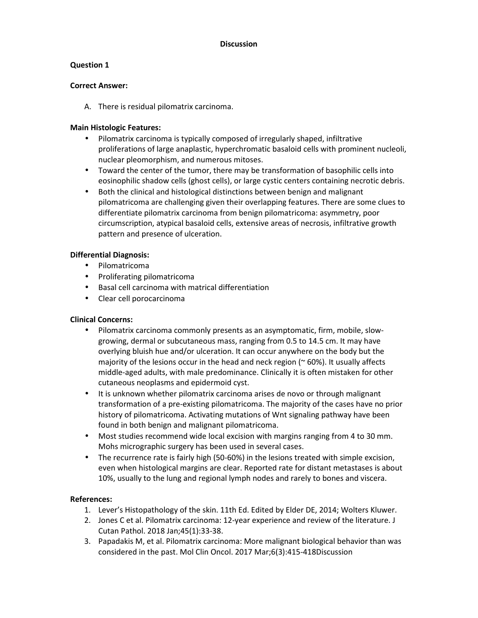# **Question 1**

### **Correct Answer:**

A. There is residual pilomatrix carcinoma.

## **Main Histologic Features:**

- Pilomatrix carcinoma is typically composed of irregularly shaped, infiltrative proliferations of large anaplastic, hyperchromatic basaloid cells with prominent nucleoli, nuclear pleomorphism, and numerous mitoses.
- Toward the center of the tumor, there may be transformation of basophilic cells into eosinophilic shadow cells (ghost cells), or large cystic centers containing necrotic debris.
- Both the clinical and histological distinctions between benign and malignant pilomatricoma are challenging given their overlapping features. There are some clues to differentiate pilomatrix carcinoma from benign pilomatricoma: asymmetry, poor circumscription, atypical basaloid cells, extensive areas of necrosis, infiltrative growth pattern and presence of ulceration.

## **Differential Diagnosis:**

- Pilomatricoma
- Proliferating pilomatricoma
- Basal cell carcinoma with matrical differentiation
- Clear cell porocarcinoma

# **Clinical Concerns:**

- Pilomatrix carcinoma commonly presents as an asymptomatic, firm, mobile, slowgrowing, dermal or subcutaneous mass, ranging from 0.5 to 14.5 cm. It may have overlying bluish hue and/or ulceration. It can occur anywhere on the body but the majority of the lesions occur in the head and neck region  $($   $\sim$  60%). It usually affects middle-aged adults, with male predominance. Clinically it is often mistaken for other cutaneous neoplasms and epidermoid cyst.
- It is unknown whether pilomatrix carcinoma arises de novo or through malignant transformation of a pre-existing pilomatricoma. The majority of the cases have no prior history of pilomatricoma. Activating mutations of Wnt signaling pathway have been found in both benign and malignant pilomatricoma.
- Most studies recommend wide local excision with margins ranging from 4 to 30 mm. Mohs micrographic surgery has been used in several cases.
- The recurrence rate is fairly high (50-60%) in the lesions treated with simple excision, even when histological margins are clear. Reported rate for distant metastases is about 10%, usually to the lung and regional lymph nodes and rarely to bones and viscera.

- 1. Lever's Histopathology of the skin. 11th Ed. Edited by Elder DE, 2014; Wolters Kluwer.
- 2. Jones C et al. Pilomatrix carcinoma: 12-year experience and review of the literature. J Cutan Pathol. 2018 Jan;45(1):33-38.
- 3. Papadakis M, et al. Pilomatrix carcinoma: More malignant biological behavior than was considered in the past. Mol Clin Oncol. 2017 Mar;6(3):415-418Discussion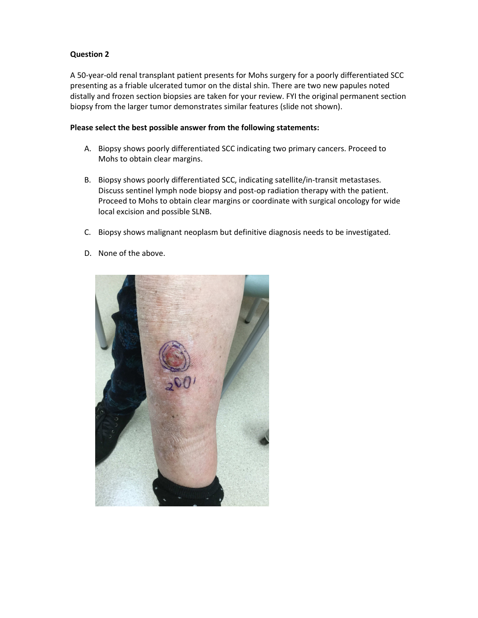A 50-year-old renal transplant patient presents for Mohs surgery for a poorly differentiated SCC presenting as a friable ulcerated tumor on the distal shin. There are two new papules noted distally and frozen section biopsies are taken for your review. FYI the original permanent section biopsy from the larger tumor demonstrates similar features (slide not shown).

### **Please select the best possible answer from the following statements:**

- A. Biopsy shows poorly differentiated SCC indicating two primary cancers. Proceed to Mohs to obtain clear margins.
- B. Biopsy shows poorly differentiated SCC, indicating satellite/in-transit metastases. Discuss sentinel lymph node biopsy and post-op radiation therapy with the patient. Proceed to Mohs to obtain clear margins or coordinate with surgical oncology for wide local excision and possible SLNB.
- C. Biopsy shows malignant neoplasm but definitive diagnosis needs to be investigated.
- D. None of the above.

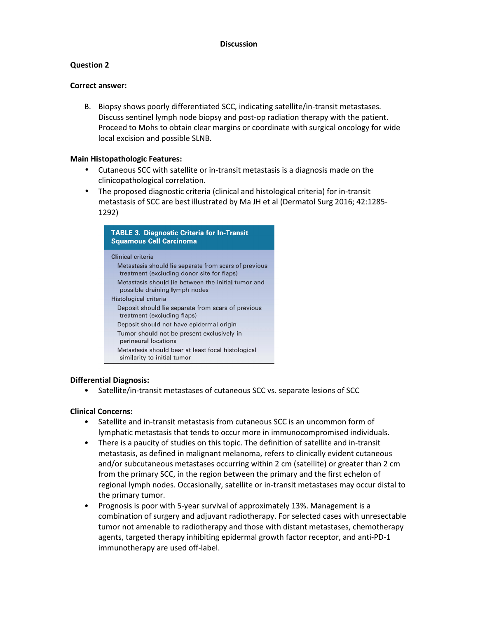# **Question 2**

#### **Correct answer:**

B. Biopsy shows poorly differentiated SCC, indicating satellite/in-transit metastases. Discuss sentinel lymph node biopsy and post-op radiation therapy with the patient. Proceed to Mohs to obtain clear margins or coordinate with surgical oncology for wide local excision and possible SLNB.

#### **Main Histopathologic Features:**

- Cutaneous SCC with satellite or in-transit metastasis is a diagnosis made on the clinicopathological correlation.
- The proposed diagnostic criteria (clinical and histological criteria) for in-transit metastasis of SCC are best illustrated by Ma JH et al (Dermatol Surg 2016; 42:1285- 1292)

| <b>TABLE 3. Diagnostic Criteria for In-Transit</b><br><b>Squamous Cell Carcinoma</b>                                                                                                                             |  |
|------------------------------------------------------------------------------------------------------------------------------------------------------------------------------------------------------------------|--|
| Clinical criteria<br>Metastasis should lie separate from scars of previous<br>treatment (excluding donor site for flaps)<br>Metastasis should lie between the initial tumor and<br>possible draining lymph nodes |  |
| Histological criteria<br>Deposit should lie separate from scars of previous<br>treatment (excluding flaps)<br>Deposit should not have epidermal origin                                                           |  |
| Tumor should not be present exclusively in<br>perineural locations<br>Metastasis should bear at least focal histological<br>similarity to initial tumor                                                          |  |

### **Differential Diagnosis:**

• Satellite/in-transit metastases of cutaneous SCC vs. separate lesions of SCC

### **Clinical Concerns:**

- Satellite and in-transit metastasis from cutaneous SCC is an uncommon form of lymphatic metastasis that tends to occur more in immunocompromised individuals.
- There is a paucity of studies on this topic. The definition of satellite and in-transit metastasis, as defined in malignant melanoma, refers to clinically evident cutaneous and/or subcutaneous metastases occurring within 2 cm (satellite) or greater than 2 cm from the primary SCC, in the region between the primary and the first echelon of regional lymph nodes. Occasionally, satellite or in-transit metastases may occur distal to the primary tumor.
- Prognosis is poor with 5-year survival of approximately 13%. Management is a combination of surgery and adjuvant radiotherapy. For selected cases with unresectable tumor not amenable to radiotherapy and those with distant metastases, chemotherapy agents, targeted therapy inhibiting epidermal growth factor receptor, and anti-PD-1 immunotherapy are used off-label.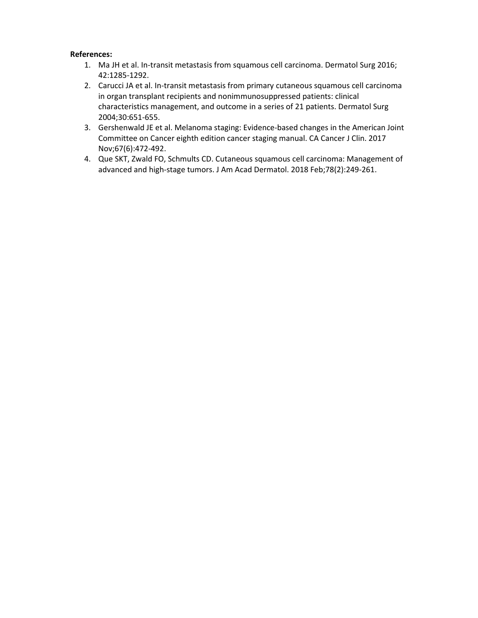- 1. Ma JH et al. In-transit metastasis from squamous cell carcinoma. Dermatol Surg 2016; 42:1285-1292.
- 2. Carucci JA et al. In-transit metastasis from primary cutaneous squamous cell carcinoma in organ transplant recipients and nonimmunosuppressed patients: clinical characteristics management, and outcome in a series of 21 patients. Dermatol Surg 2004;30:651-655.
- 3. Gershenwald JE et al. Melanoma staging: Evidence-based changes in the American Joint Committee on Cancer eighth edition cancer staging manual. CA Cancer J Clin. 2017 Nov;67(6):472-492.
- 4. Que SKT, Zwald FO, Schmults CD. Cutaneous squamous cell carcinoma: Management of advanced and high-stage tumors. J Am Acad Dermatol. 2018 Feb;78(2):249-261.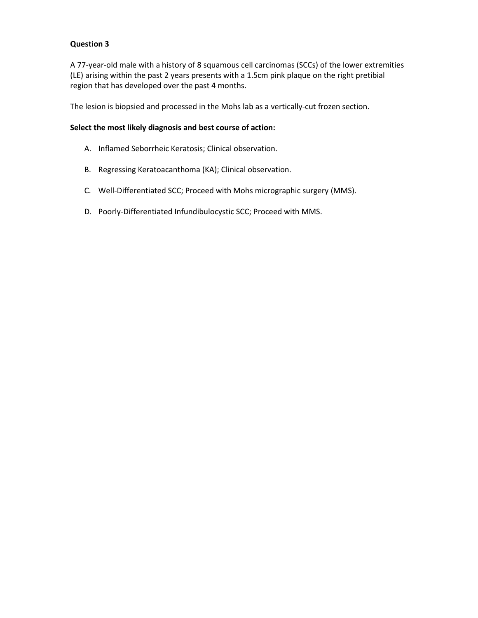A 77-year-old male with a history of 8 squamous cell carcinomas (SCCs) of the lower extremities (LE) arising within the past 2 years presents with a 1.5cm pink plaque on the right pretibial region that has developed over the past 4 months.

The lesion is biopsied and processed in the Mohs lab as a vertically-cut frozen section.

#### **Select the most likely diagnosis and best course of action:**

- A. Inflamed Seborrheic Keratosis; Clinical observation.
- B. Regressing Keratoacanthoma (KA); Clinical observation.
- C. Well-Differentiated SCC; Proceed with Mohs micrographic surgery (MMS).
- D. Poorly-Differentiated Infundibulocystic SCC; Proceed with MMS.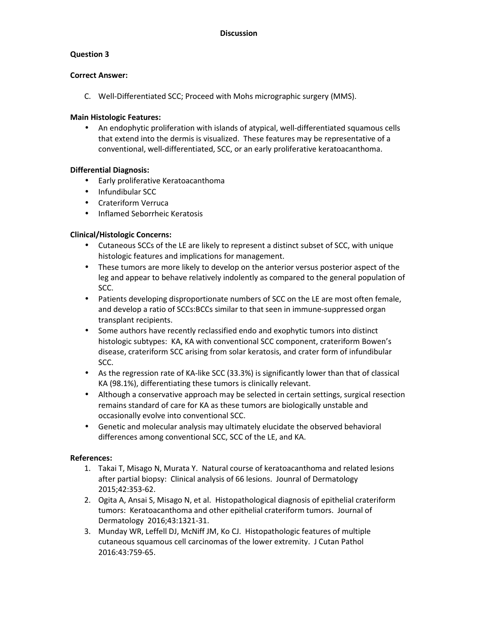### **Correct Answer:**

C. Well-Differentiated SCC; Proceed with Mohs micrographic surgery (MMS).

### **Main Histologic Features:**

• An endophytic proliferation with islands of atypical, well-differentiated squamous cells that extend into the dermis is visualized. These features may be representative of a conventional, well-differentiated, SCC, or an early proliferative keratoacanthoma.

## **Differential Diagnosis:**

- Early proliferative Keratoacanthoma
- Infundibular SCC
- Crateriform Verruca
- Inflamed Seborrheic Keratosis

## **Clinical/Histologic Concerns:**

- Cutaneous SCCs of the LE are likely to represent a distinct subset of SCC, with unique histologic features and implications for management.
- These tumors are more likely to develop on the anterior versus posterior aspect of the leg and appear to behave relatively indolently as compared to the general population of SCC.
- Patients developing disproportionate numbers of SCC on the LE are most often female, and develop a ratio of SCCs:BCCs similar to that seen in immune-suppressed organ transplant recipients.
- Some authors have recently reclassified endo and exophytic tumors into distinct histologic subtypes: KA, KA with conventional SCC component, crateriform Bowen's disease, crateriform SCC arising from solar keratosis, and crater form of infundibular SCC.
- As the regression rate of KA-like SCC (33.3%) is significantly lower than that of classical KA (98.1%), differentiating these tumors is clinically relevant.
- Although a conservative approach may be selected in certain settings, surgical resection remains standard of care for KA as these tumors are biologically unstable and occasionally evolve into conventional SCC.
- Genetic and molecular analysis may ultimately elucidate the observed behavioral differences among conventional SCC, SCC of the LE, and KA.

- 1. Takai T, Misago N, Murata Y. Natural course of keratoacanthoma and related lesions after partial biopsy: Clinical analysis of 66 lesions. Jounral of Dermatology 2015;42:353-62.
- 2. Ogita A, Ansai S, Misago N, et al. Histopathological diagnosis of epithelial crateriform tumors: Keratoacanthoma and other epithelial crateriform tumors. Journal of Dermatology 2016;43:1321-31.
- 3. Munday WR, Leffell DJ, McNiff JM, Ko CJ. Histopathologic features of multiple cutaneous squamous cell carcinomas of the lower extremity. J Cutan Pathol 2016:43:759-65.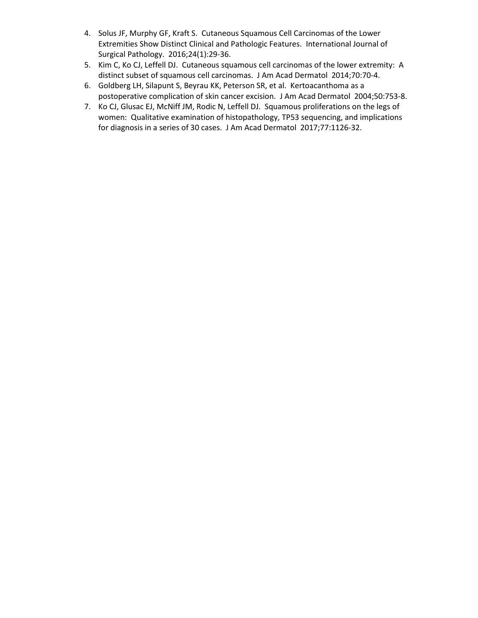- 4. Solus JF, Murphy GF, Kraft S. Cutaneous Squamous Cell Carcinomas of the Lower Extremities Show Distinct Clinical and Pathologic Features. International Journal of Surgical Pathology. 2016;24(1):29-36.
- 5. Kim C, Ko CJ, Leffell DJ. Cutaneous squamous cell carcinomas of the lower extremity: A distinct subset of squamous cell carcinomas. J Am Acad Dermatol 2014;70:70-4.
- 6. Goldberg LH, Silapunt S, Beyrau KK, Peterson SR, et al. Kertoacanthoma as a postoperative complication of skin cancer excision. J Am Acad Dermatol 2004;50:753-8.
- 7. Ko CJ, Glusac EJ, McNiff JM, Rodic N, Leffell DJ. Squamous proliferations on the legs of women: Qualitative examination of histopathology, TP53 sequencing, and implications for diagnosis in a series of 30 cases. J Am Acad Dermatol 2017;77:1126-32.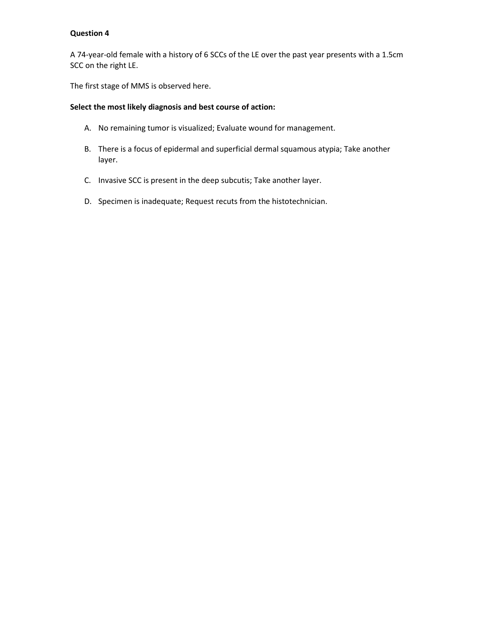A 74-year-old female with a history of 6 SCCs of the LE over the past year presents with a 1.5cm SCC on the right LE.

The first stage of MMS is observed here.

### **Select the most likely diagnosis and best course of action:**

- A. No remaining tumor is visualized; Evaluate wound for management.
- B. There is a focus of epidermal and superficial dermal squamous atypia; Take another layer.
- C. Invasive SCC is present in the deep subcutis; Take another layer.
- D. Specimen is inadequate; Request recuts from the histotechnician.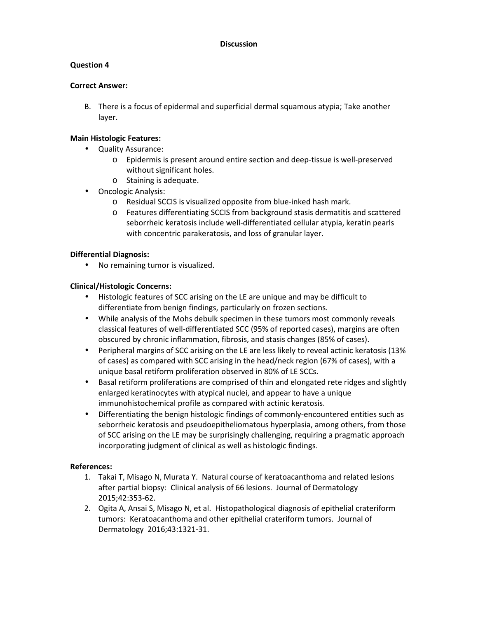## **Question 4**

### **Correct Answer:**

B. There is a focus of epidermal and superficial dermal squamous atypia; Take another layer.

### **Main Histologic Features:**

- Quality Assurance:
	- o Epidermis is present around entire section and deep-tissue is well-preserved without significant holes.
	- o Staining is adequate.
- Oncologic Analysis:
	- o Residual SCCIS is visualized opposite from blue-inked hash mark.
	- o Features differentiating SCCIS from background stasis dermatitis and scattered seborrheic keratosis include well-differentiated cellular atypia, keratin pearls with concentric parakeratosis, and loss of granular layer.

### **Differential Diagnosis:**

• No remaining tumor is visualized.

## **Clinical/Histologic Concerns:**

- Histologic features of SCC arising on the LE are unique and may be difficult to differentiate from benign findings, particularly on frozen sections.
- While analysis of the Mohs debulk specimen in these tumors most commonly reveals classical features of well-differentiated SCC (95% of reported cases), margins are often obscured by chronic inflammation, fibrosis, and stasis changes (85% of cases).
- Peripheral margins of SCC arising on the LE are less likely to reveal actinic keratosis (13% of cases) as compared with SCC arising in the head/neck region (67% of cases), with a unique basal retiform proliferation observed in 80% of LE SCCs.
- Basal retiform proliferations are comprised of thin and elongated rete ridges and slightly enlarged keratinocytes with atypical nuclei, and appear to have a unique immunohistochemical profile as compared with actinic keratosis.
- Differentiating the benign histologic findings of commonly-encountered entities such as seborrheic keratosis and pseudoepitheliomatous hyperplasia, among others, from those of SCC arising on the LE may be surprisingly challenging, requiring a pragmatic approach incorporating judgment of clinical as well as histologic findings.

- 1. Takai T, Misago N, Murata Y. Natural course of keratoacanthoma and related lesions after partial biopsy: Clinical analysis of 66 lesions. Journal of Dermatology 2015;42:353-62.
- 2. Ogita A, Ansai S, Misago N, et al. Histopathological diagnosis of epithelial crateriform tumors: Keratoacanthoma and other epithelial crateriform tumors. Journal of Dermatology 2016;43:1321-31.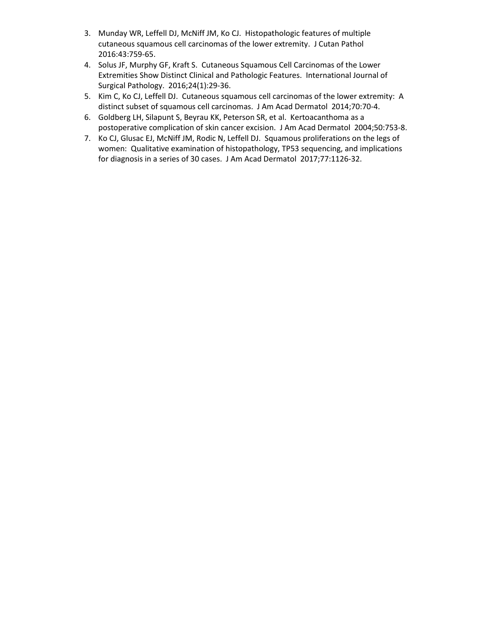- 3. Munday WR, Leffell DJ, McNiff JM, Ko CJ. Histopathologic features of multiple cutaneous squamous cell carcinomas of the lower extremity. J Cutan Pathol 2016:43:759-65.
- 4. Solus JF, Murphy GF, Kraft S. Cutaneous Squamous Cell Carcinomas of the Lower Extremities Show Distinct Clinical and Pathologic Features. International Journal of Surgical Pathology. 2016;24(1):29-36.
- 5. Kim C, Ko CJ, Leffell DJ. Cutaneous squamous cell carcinomas of the lower extremity: A distinct subset of squamous cell carcinomas. J Am Acad Dermatol 2014;70:70-4.
- 6. Goldberg LH, Silapunt S, Beyrau KK, Peterson SR, et al. Kertoacanthoma as a postoperative complication of skin cancer excision. J Am Acad Dermatol 2004;50:753-8.
- 7. Ko CJ, Glusac EJ, McNiff JM, Rodic N, Leffell DJ. Squamous proliferations on the legs of women: Qualitative examination of histopathology, TP53 sequencing, and implications for diagnosis in a series of 30 cases. J Am Acad Dermatol 2017;77:1126-32.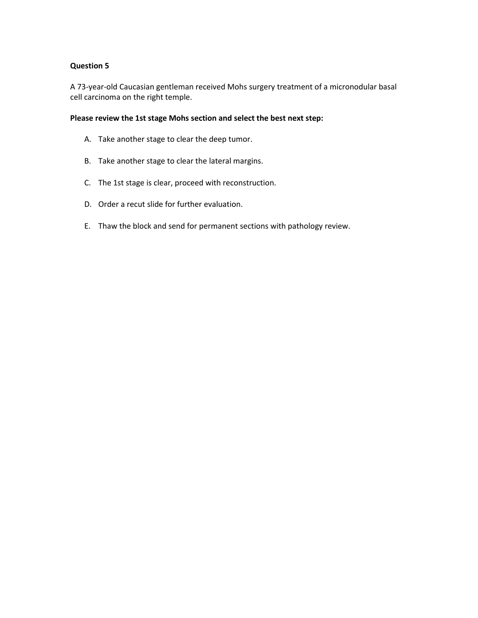A 73-year-old Caucasian gentleman received Mohs surgery treatment of a micronodular basal cell carcinoma on the right temple.

#### **Please review the 1st stage Mohs section and select the best next step:**

- A. Take another stage to clear the deep tumor.
- B. Take another stage to clear the lateral margins.
- C. The 1st stage is clear, proceed with reconstruction.
- D. Order a recut slide for further evaluation.
- E. Thaw the block and send for permanent sections with pathology review.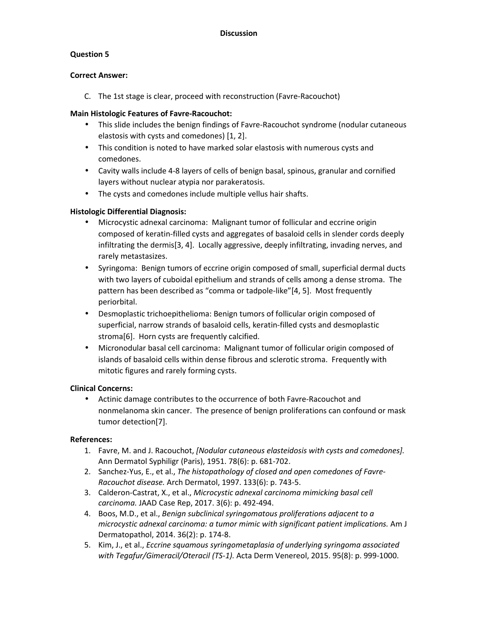# **Question 5**

### **Correct Answer:**

C. The 1st stage is clear, proceed with reconstruction (Favre-Racouchot)

# **Main Histologic Features of Favre-Racouchot:**

- This slide includes the benign findings of Favre-Racouchot syndrome (nodular cutaneous elastosis with cysts and comedones) [1, 2].
- This condition is noted to have marked solar elastosis with numerous cysts and comedones.
- Cavity walls include 4-8 layers of cells of benign basal, spinous, granular and cornified layers without nuclear atypia nor parakeratosis.
- The cysts and comedones include multiple vellus hair shafts.

# **Histologic Differential Diagnosis:**

- Microcystic adnexal carcinoma: Malignant tumor of follicular and eccrine origin composed of keratin-filled cysts and aggregates of basaloid cells in slender cords deeply infiltrating the dermis[3, 4]. Locally aggressive, deeply infiltrating, invading nerves, and rarely metastasizes.
- Syringoma: Benign tumors of eccrine origin composed of small, superficial dermal ducts with two layers of cuboidal epithelium and strands of cells among a dense stroma. The pattern has been described as "comma or tadpole-like"[4, 5]. Most frequently periorbital.
- Desmoplastic trichoepithelioma: Benign tumors of follicular origin composed of superficial, narrow strands of basaloid cells, keratin-filled cysts and desmoplastic stroma[6]. Horn cysts are frequently calcified.
- Micronodular basal cell carcinoma: Malignant tumor of follicular origin composed of islands of basaloid cells within dense fibrous and sclerotic stroma. Frequently with mitotic figures and rarely forming cysts.

### **Clinical Concerns:**

• Actinic damage contributes to the occurrence of both Favre-Racouchot and nonmelanoma skin cancer. The presence of benign proliferations can confound or mask tumor detection[7].

- 1. Favre, M. and J. Racouchot, *[Nodular cutaneous elasteidosis with cysts and comedones].* Ann Dermatol Syphiligr (Paris), 1951. 78(6): p. 681-702.
- 2. Sanchez-Yus, E., et al., *The histopathology of closed and open comedones of Favre-Racouchot disease.* Arch Dermatol, 1997. 133(6): p. 743-5.
- 3. Calderon-Castrat, X., et al., *Microcystic adnexal carcinoma mimicking basal cell carcinoma.* JAAD Case Rep, 2017. 3(6): p. 492-494.
- 4. Boos, M.D., et al., *Benign subclinical syringomatous proliferations adjacent to a microcystic adnexal carcinoma: a tumor mimic with significant patient implications.* Am J Dermatopathol, 2014. 36(2): p. 174-8.
- 5. Kim, J., et al., *Eccrine squamous syringometaplasia of underlying syringoma associated with Tegafur/Gimeracil/Oteracil (TS-1).* Acta Derm Venereol, 2015. 95(8): p. 999-1000.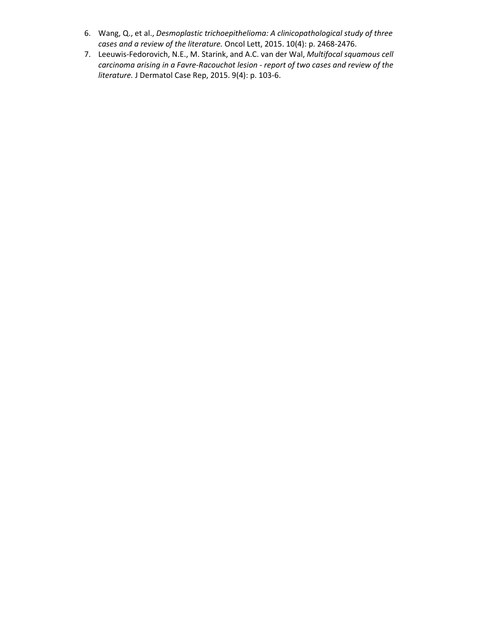- 6. Wang, Q., et al., *Desmoplastic trichoepithelioma: A clinicopathological study of three cases and a review of the literature.* Oncol Lett, 2015. 10(4): p. 2468-2476.
- 7. Leeuwis-Fedorovich, N.E., M. Starink, and A.C. van der Wal, *Multifocal squamous cell carcinoma arising in a Favre-Racouchot lesion - report of two cases and review of the literature.* J Dermatol Case Rep, 2015. 9(4): p. 103-6.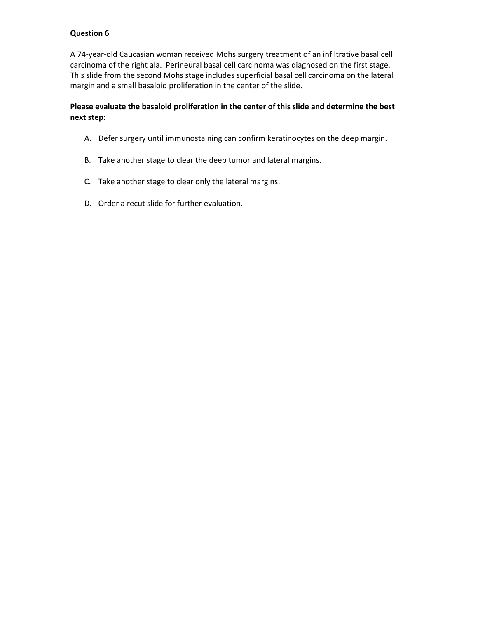A 74-year-old Caucasian woman received Mohs surgery treatment of an infiltrative basal cell carcinoma of the right ala. Perineural basal cell carcinoma was diagnosed on the first stage. This slide from the second Mohs stage includes superficial basal cell carcinoma on the lateral margin and a small basaloid proliferation in the center of the slide.

## **Please evaluate the basaloid proliferation in the center of this slide and determine the best next step:**

- A. Defer surgery until immunostaining can confirm keratinocytes on the deep margin.
- B. Take another stage to clear the deep tumor and lateral margins.
- C. Take another stage to clear only the lateral margins.
- D. Order a recut slide for further evaluation.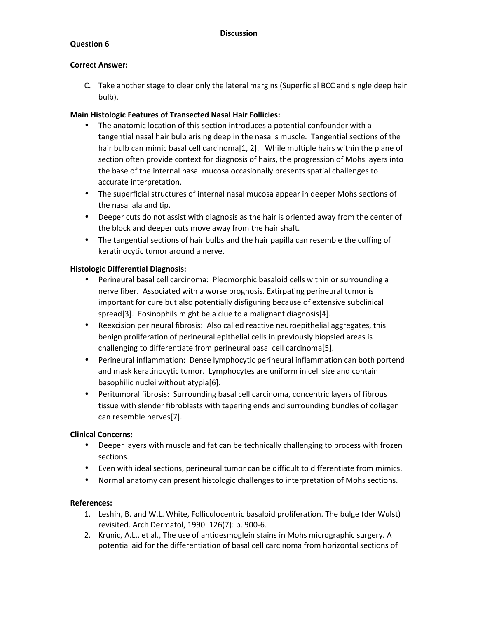#### **Correct Answer:**

C. Take another stage to clear only the lateral margins (Superficial BCC and single deep hair bulb).

### **Main Histologic Features of Transected Nasal Hair Follicles:**

- The anatomic location of this section introduces a potential confounder with a tangential nasal hair bulb arising deep in the nasalis muscle. Tangential sections of the hair bulb can mimic basal cell carcinoma[1, 2]. While multiple hairs within the plane of section often provide context for diagnosis of hairs, the progression of Mohs layers into the base of the internal nasal mucosa occasionally presents spatial challenges to accurate interpretation.
- The superficial structures of internal nasal mucosa appear in deeper Mohs sections of the nasal ala and tip.
- Deeper cuts do not assist with diagnosis as the hair is oriented away from the center of the block and deeper cuts move away from the hair shaft.
- The tangential sections of hair bulbs and the hair papilla can resemble the cuffing of keratinocytic tumor around a nerve.

### **Histologic Differential Diagnosis:**

- Perineural basal cell carcinoma: Pleomorphic basaloid cells within or surrounding a nerve fiber. Associated with a worse prognosis. Extirpating perineural tumor is important for cure but also potentially disfiguring because of extensive subclinical spread[3]. Eosinophils might be a clue to a malignant diagnosis[4].
- Reexcision perineural fibrosis: Also called reactive neuroepithelial aggregates, this benign proliferation of perineural epithelial cells in previously biopsied areas is challenging to differentiate from perineural basal cell carcinoma[5].
- Perineural inflammation: Dense lymphocytic perineural inflammation can both portend and mask keratinocytic tumor. Lymphocytes are uniform in cell size and contain basophilic nuclei without atypia[6].
- Peritumoral fibrosis: Surrounding basal cell carcinoma, concentric layers of fibrous tissue with slender fibroblasts with tapering ends and surrounding bundles of collagen can resemble nerves[7].

### **Clinical Concerns:**

- Deeper layers with muscle and fat can be technically challenging to process with frozen sections.
- Even with ideal sections, perineural tumor can be difficult to differentiate from mimics.
- Normal anatomy can present histologic challenges to interpretation of Mohs sections.

- 1. Leshin, B. and W.L. White, Folliculocentric basaloid proliferation. The bulge (der Wulst) revisited. Arch Dermatol, 1990. 126(7): p. 900-6.
- 2. Krunic, A.L., et al., The use of antidesmoglein stains in Mohs micrographic surgery. A potential aid for the differentiation of basal cell carcinoma from horizontal sections of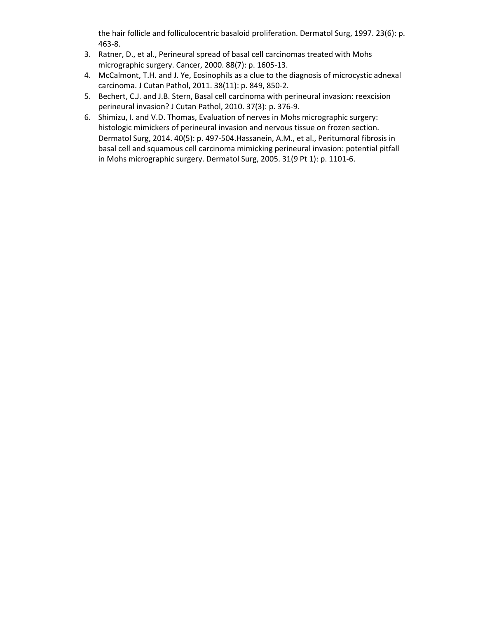the hair follicle and folliculocentric basaloid proliferation. Dermatol Surg, 1997. 23(6): p. 463-8.

- 3. Ratner, D., et al., Perineural spread of basal cell carcinomas treated with Mohs micrographic surgery. Cancer, 2000. 88(7): p. 1605-13.
- 4. McCalmont, T.H. and J. Ye, Eosinophils as a clue to the diagnosis of microcystic adnexal carcinoma. J Cutan Pathol, 2011. 38(11): p. 849, 850-2.
- 5. Bechert, C.J. and J.B. Stern, Basal cell carcinoma with perineural invasion: reexcision perineural invasion? J Cutan Pathol, 2010. 37(3): p. 376-9.
- 6. Shimizu, I. and V.D. Thomas, Evaluation of nerves in Mohs micrographic surgery: histologic mimickers of perineural invasion and nervous tissue on frozen section. Dermatol Surg, 2014. 40(5): p. 497-504.Hassanein, A.M., et al., Peritumoral fibrosis in basal cell and squamous cell carcinoma mimicking perineural invasion: potential pitfall in Mohs micrographic surgery. Dermatol Surg, 2005. 31(9 Pt 1): p. 1101-6.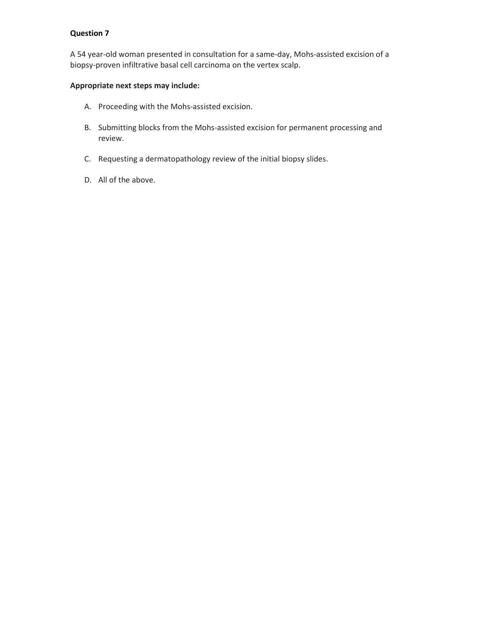A 54 year-old woman presented in consultation for a same-day, Mohs-assisted excision of a biopsy-proven infiltrative basal cell carcinoma on the vertex scalp.

# **Appropriate next steps may include:**

- A. Proceeding with the Mohs-assisted excision.
- B. Submitting blocks from the Mohs-assisted excision for permanent processing and review.
- C. Requesting a dermatopathology review of the initial biopsy slides.
- D. All of the above.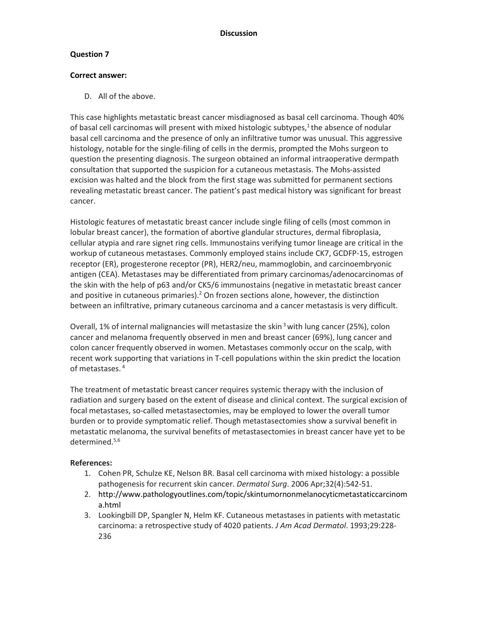### **Correct answer:**

D. All of the above.

This case highlights metastatic breast cancer misdiagnosed as basal cell carcinoma. Though 40% of basal cell carcinomas will present with mixed histologic subtypes, $1$  the absence of nodular basal cell carcinoma and the presence of only an infiltrative tumor was unusual. This aggressive histology, notable for the single-filing of cells in the dermis, prompted the Mohs surgeon to question the presenting diagnosis. The surgeon obtained an informal intraoperative dermpath consultation that supported the suspicion for a cutaneous metastasis. The Mohs-assisted excision was halted and the block from the first stage was submitted for permanent sections revealing metastatic breast cancer. The patient's past medical history was significant for breast cancer.

Histologic features of metastatic breast cancer include single filing of cells (most common in lobular breast cancer), the formation of abortive glandular structures, dermal fibroplasia, cellular atypia and rare signet ring cells. Immunostains verifying tumor lineage are critical in the workup of cutaneous metastases. Commonly employed stains include CK7, GCDFP-15, estrogen receptor (ER), progesterone receptor (PR), HER2/neu, mammoglobin, and carcinoembryonic antigen (CEA). Metastases may be differentiated from primary carcinomas/adenocarcinomas of the skin with the help of p63 and/or CK5/6 immunostains (negative in metastatic breast cancer and positive in cutaneous primaries).<sup>2</sup> On frozen sections alone, however, the distinction between an infiltrative, primary cutaneous carcinoma and a cancer metastasis is very difficult.

Overall, 1% of internal malignancies will metastasize the skin<sup>3</sup> with lung cancer (25%), colon cancer and melanoma frequently observed in men and breast cancer (69%), lung cancer and colon cancer frequently observed in women. Metastases commonly occur on the scalp, with recent work supporting that variations in T-cell populations within the skin predict the location of metastases.<sup>4</sup>

The treatment of metastatic breast cancer requires systemic therapy with the inclusion of radiation and surgery based on the extent of disease and clinical context. The surgical excision of focal metastases, so-called metastasectomies, may be employed to lower the overall tumor burden or to provide symptomatic relief. Though metastasectomies show a survival benefit in metastatic melanoma, the survival benefits of metastasectomies in breast cancer have yet to be determined.5,6

- 1. Cohen PR, Schulze KE, Nelson BR. Basal cell carcinoma with mixed histology: a possible pathogenesis for recurrent skin cancer. *Dermatol Surg*. 2006 Apr;32(4):542-51.
- 2. http://www.pathologyoutlines.com/topic/skintumornonmelanocyticmetastaticcarcinom a.html
- 3. Lookingbill DP, Spangler N, Helm KF. Cutaneous metastases in patients with metastatic carcinoma: a retrospective study of 4020 patients. *J Am Acad Dermatol*. 1993;29:228- 236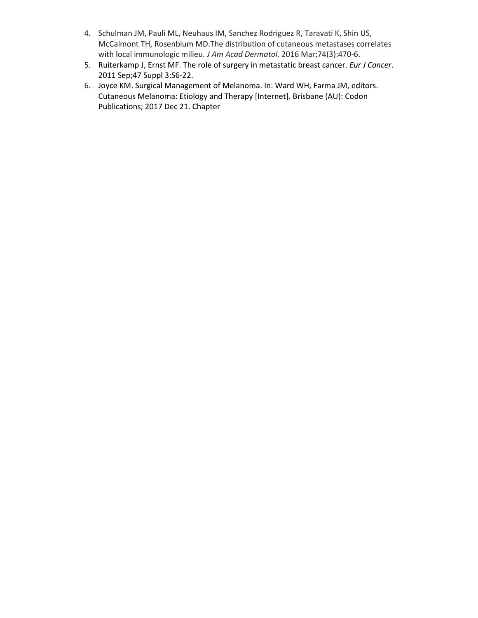- 4. Schulman JM, Pauli ML, Neuhaus IM, Sanchez Rodriguez R, Taravati K, Shin US, McCalmont TH, Rosenblum MD.The distribution of cutaneous metastases correlates with local immunologic milieu. *J Am Acad Dermatol.* 2016 Mar;74(3):470-6.
- 5. Ruiterkamp J, Ernst MF. The role of surgery in metastatic breast cancer. *Eur J Cancer*. 2011 Sep;47 Suppl 3:S6-22.
- 6. Joyce KM. Surgical Management of Melanoma. In: Ward WH, Farma JM, editors. Cutaneous Melanoma: Etiology and Therapy [Internet]. Brisbane (AU): Codon Publications; 2017 Dec 21. Chapter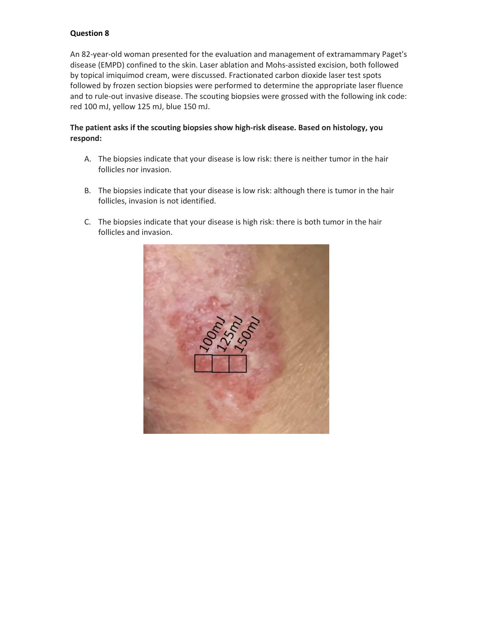An 82-year-old woman presented for the evaluation and management of extramammary Paget's disease (EMPD) confined to the skin. Laser ablation and Mohs-assisted excision, both followed by topical imiquimod cream, were discussed. Fractionated carbon dioxide laser test spots followed by frozen section biopsies were performed to determine the appropriate laser fluence and to rule-out invasive disease. The scouting biopsies were grossed with the following ink code: red 100 mJ, yellow 125 mJ, blue 150 mJ.

# **The patient asks if the scouting biopsies show high-risk disease. Based on histology, you respond:**

- A. The biopsies indicate that your disease is low risk: there is neither tumor in the hair follicles nor invasion.
- B. The biopsies indicate that your disease is low risk: although there is tumor in the hair follicles, invasion is not identified.
- C. The biopsies indicate that your disease is high risk: there is both tumor in the hair follicles and invasion.

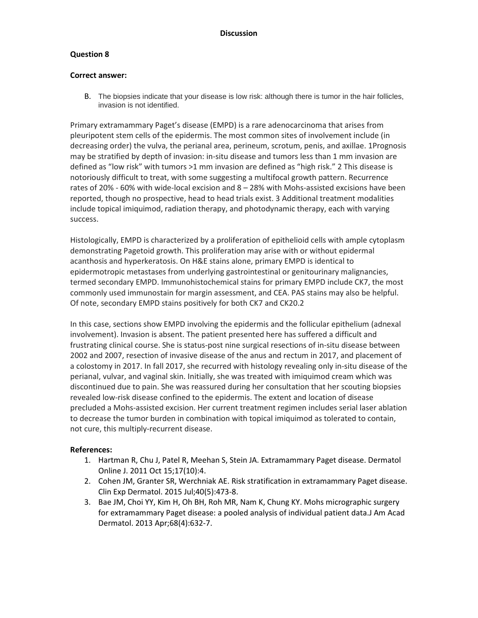### **Question 8**

#### **Correct answer:**

B. The biopsies indicate that your disease is low risk: although there is tumor in the hair follicles, invasion is not identified.

Primary extramammary Paget's disease (EMPD) is a rare adenocarcinoma that arises from pleuripotent stem cells of the epidermis. The most common sites of involvement include (in decreasing order) the vulva, the perianal area, perineum, scrotum, penis, and axillae. 1Prognosis may be stratified by depth of invasion: in-situ disease and tumors less than 1 mm invasion are defined as "low risk" with tumors >1 mm invasion are defined as "high risk." 2 This disease is notoriously difficult to treat, with some suggesting a multifocal growth pattern. Recurrence rates of 20% - 60% with wide-local excision and 8 – 28% with Mohs-assisted excisions have been reported, though no prospective, head to head trials exist. 3 Additional treatment modalities include topical imiquimod, radiation therapy, and photodynamic therapy, each with varying success.

Histologically, EMPD is characterized by a proliferation of epithelioid cells with ample cytoplasm demonstrating Pagetoid growth. This proliferation may arise with or without epidermal acanthosis and hyperkeratosis. On H&E stains alone, primary EMPD is identical to epidermotropic metastases from underlying gastrointestinal or genitourinary malignancies, termed secondary EMPD. Immunohistochemical stains for primary EMPD include CK7, the most commonly used immunostain for margin assessment, and CEA. PAS stains may also be helpful. Of note, secondary EMPD stains positively for both CK7 and CK20.2

In this case, sections show EMPD involving the epidermis and the follicular epithelium (adnexal involvement). Invasion is absent. The patient presented here has suffered a difficult and frustrating clinical course. She is status-post nine surgical resections of in-situ disease between 2002 and 2007, resection of invasive disease of the anus and rectum in 2017, and placement of a colostomy in 2017. In fall 2017, she recurred with histology revealing only in-situ disease of the perianal, vulvar, and vaginal skin. Initially, she was treated with imiquimod cream which was discontinued due to pain. She was reassured during her consultation that her scouting biopsies revealed low-risk disease confined to the epidermis. The extent and location of disease precluded a Mohs-assisted excision. Her current treatment regimen includes serial laser ablation to decrease the tumor burden in combination with topical imiquimod as tolerated to contain, not cure, this multiply-recurrent disease.

- 1. Hartman R, Chu J, Patel R, Meehan S, Stein JA. Extramammary Paget disease. Dermatol Online J. 2011 Oct 15;17(10):4.
- 2. Cohen JM, Granter SR, Werchniak AE. Risk stratification in extramammary Paget disease. Clin Exp Dermatol. 2015 Jul;40(5):473-8.
- 3. Bae JM, Choi YY, Kim H, Oh BH, Roh MR, Nam K, Chung KY. Mohs micrographic surgery for extramammary Paget disease: a pooled analysis of individual patient data.J Am Acad Dermatol. 2013 Apr;68(4):632-7.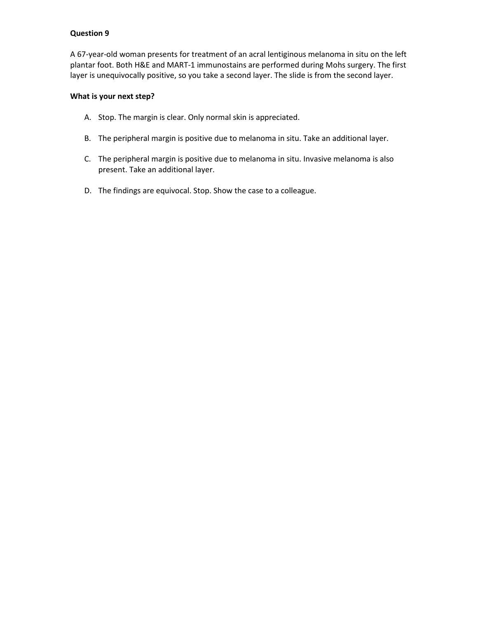A 67-year-old woman presents for treatment of an acral lentiginous melanoma in situ on the left plantar foot. Both H&E and MART-1 immunostains are performed during Mohs surgery. The first layer is unequivocally positive, so you take a second layer. The slide is from the second layer.

### **What is your next step?**

- A. Stop. The margin is clear. Only normal skin is appreciated.
- B. The peripheral margin is positive due to melanoma in situ. Take an additional layer.
- C. The peripheral margin is positive due to melanoma in situ. Invasive melanoma is also present. Take an additional layer.
- D. The findings are equivocal. Stop. Show the case to a colleague.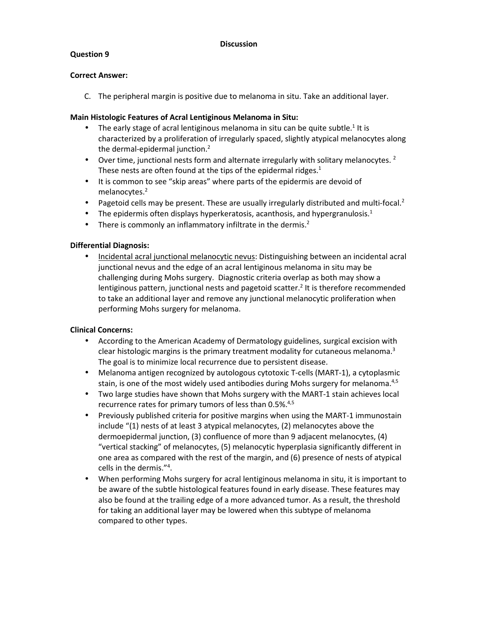## **Question 9**

### **Correct Answer:**

C. The peripheral margin is positive due to melanoma in situ. Take an additional layer.

## **Main Histologic Features of Acral Lentiginous Melanoma in Situ:**

- $\bullet$  The early stage of acral lentiginous melanoma in situ can be quite subtle.<sup>1</sup> It is characterized by a proliferation of irregularly spaced, slightly atypical melanocytes along the dermal-epidermal junction.<sup>2</sup>
- Over time, junctional nests form and alternate irregularly with solitary melanocytes.  $2^2$ These nests are often found at the tips of the epidermal ridges. $1$
- It is common to see "skip areas" where parts of the epidermis are devoid of melanocytes.<sup>2</sup>
- Pagetoid cells may be present. These are usually irregularly distributed and multi-focal.<sup>2</sup>
- The epidermis often displays hyperkeratosis, acanthosis, and hypergranulosis.<sup>1</sup>
- There is commonly an inflammatory infiltrate in the dermis. $2$

## **Differential Diagnosis:**

• Incidental acral junctional melanocytic nevus: Distinguishing between an incidental acral junctional nevus and the edge of an acral lentiginous melanoma in situ may be challenging during Mohs surgery. Diagnostic criteria overlap as both may show a lentiginous pattern, junctional nests and pagetoid scatter.<sup>2</sup> It is therefore recommended to take an additional layer and remove any junctional melanocytic proliferation when performing Mohs surgery for melanoma.

# **Clinical Concerns:**

- According to the American Academy of Dermatology guidelines, surgical excision with clear histologic margins is the primary treatment modality for cutaneous melanoma. $3$ The goal is to minimize local recurrence due to persistent disease.
- Melanoma antigen recognized by autologous cytotoxic T-cells (MART-1), a cytoplasmic stain, is one of the most widely used antibodies during Mohs surgery for melanoma.<sup>4,5</sup>
- Two large studies have shown that Mohs surgery with the MART-1 stain achieves local recurrence rates for primary tumors of less than 0.5%.4,5
- Previously published criteria for positive margins when using the MART-1 immunostain include "(1) nests of at least 3 atypical melanocytes, (2) melanocytes above the dermoepidermal junction, (3) confluence of more than 9 adjacent melanocytes, (4) "vertical stacking" of melanocytes, (5) melanocytic hyperplasia significantly different in one area as compared with the rest of the margin, and (6) presence of nests of atypical cells in the dermis."<sup>4</sup> .
- When performing Mohs surgery for acral lentiginous melanoma in situ, it is important to be aware of the subtle histological features found in early disease. These features may also be found at the trailing edge of a more advanced tumor. As a result, the threshold for taking an additional layer may be lowered when this subtype of melanoma compared to other types.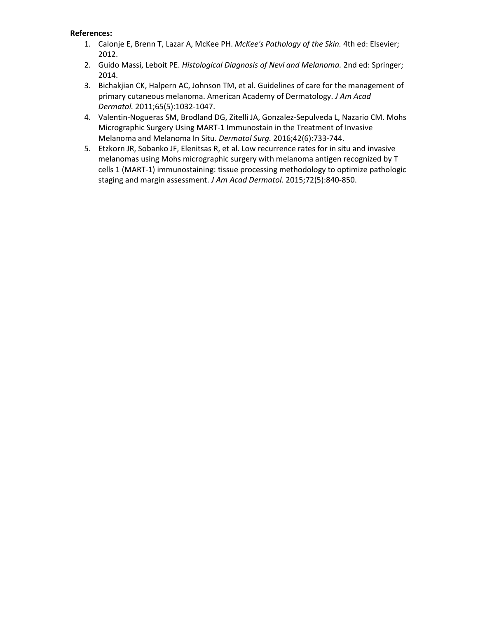- 1. Calonje E, Brenn T, Lazar A, McKee PH. *McKee's Pathology of the Skin.* 4th ed: Elsevier; 2012.
- 2. Guido Massi, Leboit PE. *Histological Diagnosis of Nevi and Melanoma.* 2nd ed: Springer; 2014.
- 3. Bichakjian CK, Halpern AC, Johnson TM, et al. Guidelines of care for the management of primary cutaneous melanoma. American Academy of Dermatology. *J Am Acad Dermatol.* 2011;65(5):1032-1047.
- 4. Valentin-Nogueras SM, Brodland DG, Zitelli JA, Gonzalez-Sepulveda L, Nazario CM. Mohs Micrographic Surgery Using MART-1 Immunostain in the Treatment of Invasive Melanoma and Melanoma In Situ. *Dermatol Surg.* 2016;42(6):733-744.
- 5. Etzkorn JR, Sobanko JF, Elenitsas R, et al. Low recurrence rates for in situ and invasive melanomas using Mohs micrographic surgery with melanoma antigen recognized by T cells 1 (MART-1) immunostaining: tissue processing methodology to optimize pathologic staging and margin assessment. *J Am Acad Dermatol.* 2015;72(5):840-850.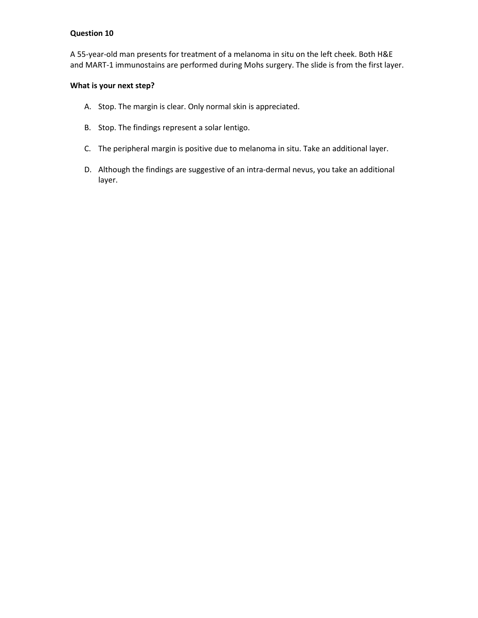A 55-year-old man presents for treatment of a melanoma in situ on the left cheek. Both H&E and MART-1 immunostains are performed during Mohs surgery. The slide is from the first layer.

### **What is your next step?**

- A. Stop. The margin is clear. Only normal skin is appreciated.
- B. Stop. The findings represent a solar lentigo.
- C. The peripheral margin is positive due to melanoma in situ. Take an additional layer.
- D. Although the findings are suggestive of an intra-dermal nevus, you take an additional layer.